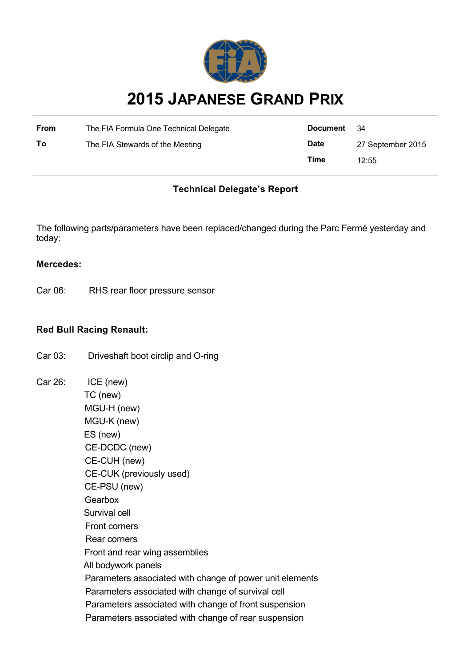

# **2015 JAPANESE GRAND PRIX**

| From | The FIA Formula One Technical Delegate | Document    | - 34              |
|------|----------------------------------------|-------------|-------------------|
| To   | The FIA Stewards of the Meeting        | <b>Date</b> | 27 September 2015 |
|      |                                        | Time        | 12:55             |

# **Technical Delegate's Report**

The following parts/parameters have been replaced/changed during the Parc Fermé yesterday and today:

#### **Mercedes:**

Car 06: RHS rear floor pressure sensor

# **Red Bull Racing Renault:**

- Car 03: Driveshaft boot circlip and O-ring
- Car 26: ICE (new) TC (new) MGU-H (new) MGU-K (new) ES (new) CE-DCDC (new) CE-CUH (new) CE-CUK (previously used) CE-PSU (new) **Gearbox**  Survival cell Front corners Rear corners Front and rear wing assemblies All bodywork panels Parameters associated with change of power unit elements Parameters associated with change of survival cell Parameters associated with change of front suspension Parameters associated with change of rear suspension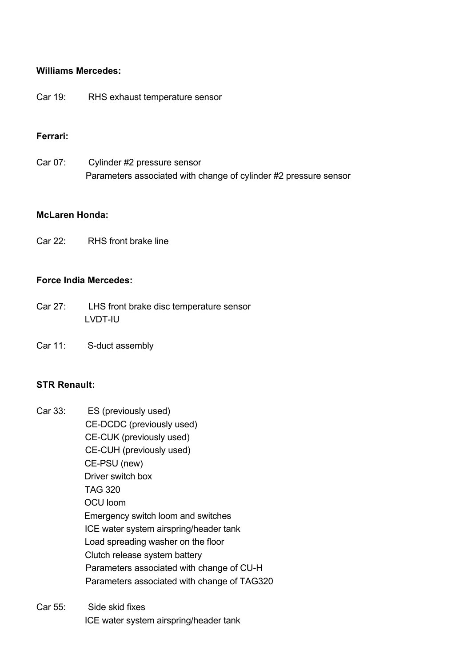# **Williams Mercedes:**

Car 19: RHS exhaust temperature sensor

# **Ferrari:**

Car 07: Cylinder #2 pressure sensor Parameters associated with change of cylinder #2 pressure sensor

# **McLaren Honda:**

Car 22: RHS front brake line

#### **Force India Mercedes:**

- Car 27: LHS front brake disc temperature sensor LVDT-IU
- Car 11: S-duct assembly

# **STR Renault:**

- Car 33: ES (previously used) CE-DCDC (previously used) CE-CUK (previously used) CE-CUH (previously used) CE-PSU (new) Driver switch box TAG 320 OCU loom Emergency switch loom and switches ICE water system airspring/header tank Load spreading washer on the floor Clutch release system battery Parameters associated with change of CU-H Parameters associated with change of TAG320
- Car 55: Side skid fixes ICE water system airspring/header tank